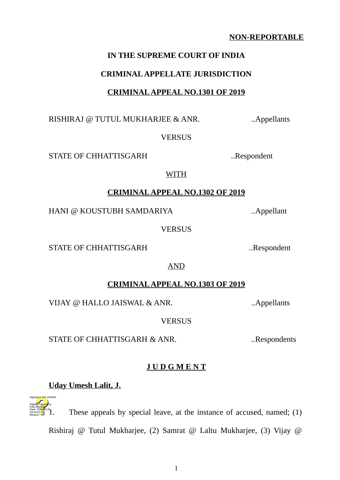## **NON-REPORTABLE**

## **IN THE SUPREME COURT OF INDIA**

## **CRIMINAL APPELLATE JURISDICTION**

## **CRIMINAL APPEAL NO.1301 OF 2019**

RISHIRAJ @ TUTUL MUKHARJEE & ANR. ..Appellants

**VERSUS** 

STATE OF CHHATTISGARH ...Respondent

## **CRIMINAL APPEAL NO.1302 OF 2019**

WITH

HANI @ KOUSTUBH SAMDARIYA ..Appellant

**VERSUS** 

STATE OF CHHATTISGARH ... Respondent

AND

# **CRIMINAL APPEAL NO.1303 OF 2019**

VIJAY @ HALLO JAISWAL & ANR. ..Appellants

**VERSUS** 

STATE OF CHHATTISGARH & ANR. ..Respondents

# **J U D G M E N T**

# **Uday Umesh Lalit, J.**

Digitally signed by Indu Marwah Date: 2022.05.20 19:43:01<sup>1ST</sup> Reason:

Signature Not Verified

These appeals by special leave, at the instance of accused, named; (1)

Rishiraj @ Tutul Mukharjee, (2) Samrat @ Laltu Mukharjee, (3) Vijay @

1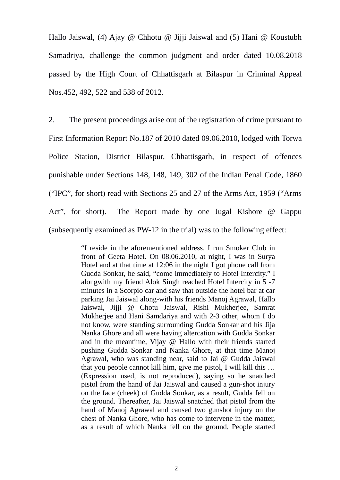Hallo Jaiswal, (4) Ajay @ Chhotu @ Jijji Jaiswal and (5) Hani @ Koustubh Samadriya, challenge the common judgment and order dated 10.08.2018 passed by the High Court of Chhattisgarh at Bilaspur in Criminal Appeal Nos.452, 492, 522 and 538 of 2012.

2. The present proceedings arise out of the registration of crime pursuant to First Information Report No.187 of 2010 dated 09.06.2010, lodged with Torwa Police Station, District Bilaspur, Chhattisgarh, in respect of offences punishable under Sections 148, 148, 149, 302 of the Indian Penal Code, 1860 ("IPC", for short) read with Sections 25 and 27 of the Arms Act, 1959 ("Arms Act", for short). The Report made by one Jugal Kishore  $\omega$  Gappu (subsequently examined as PW-12 in the trial) was to the following effect:

> "I reside in the aforementioned address. I run Smoker Club in front of Geeta Hotel. On 08.06.2010, at night, I was in Surya Hotel and at that time at 12:06 in the night I got phone call from Gudda Sonkar, he said, "come immediately to Hotel Intercity." I alongwith my friend Alok Singh reached Hotel Intercity in 5 -7 minutes in a Scorpio car and saw that outside the hotel bar at car parking Jai Jaiswal along-with his friends Manoj Agrawal, Hallo Jaiswal, Jijji @ Chotu Jaiswal, Rishi Mukherjee, Samrat Mukherjee and Hani Samdariya and with 2-3 other, whom I do not know, were standing surrounding Gudda Sonkar and his Jija Nanka Ghore and all were having altercation with Gudda Sonkar and in the meantime, Vijay  $\omega$  Hallo with their friends started pushing Gudda Sonkar and Nanka Ghore, at that time Manoj Agrawal, who was standing near, said to Jai  $\omega$  Gudda Jaiswal that you people cannot kill him, give me pistol, I will kill this … (Expression used, is not reproduced), saying so he snatched pistol from the hand of Jai Jaiswal and caused a gun-shot injury on the face (cheek) of Gudda Sonkar, as a result, Gudda fell on the ground. Thereafter, Jai Jaiswal snatched that pistol from the hand of Manoj Agrawal and caused two gunshot injury on the chest of Nanka Ghore, who has come to intervene in the matter, as a result of which Nanka fell on the ground. People started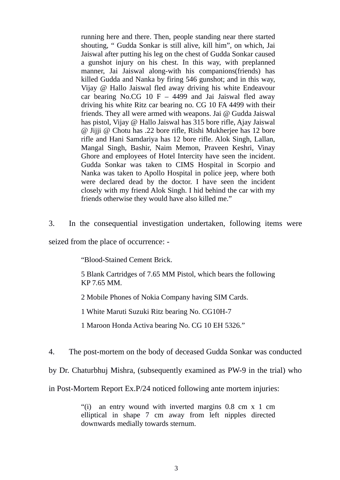running here and there. Then, people standing near there started shouting, " Gudda Sonkar is still alive, kill him", on which, Jai Jaiswal after putting his leg on the chest of Gudda Sonkar caused a gunshot injury on his chest. In this way, with preplanned manner, Jai Jaiswal along-with his companions(friends) has killed Gudda and Nanka by firing 546 gunshot; and in this way, Vijay @ Hallo Jaiswal fled away driving his white Endeavour car bearing No.CG 10  $F - 4499$  and Jai Jaiswal fled away driving his white Ritz car bearing no. CG 10 FA 4499 with their friends. They all were armed with weapons. Jai  $\omega$  Gudda Jaiswal has pistol, Vijay @ Hallo Jaiswal has 315 bore rifle, Ajay Jaiswal @ Jijji @ Chotu has .22 bore rifle, Rishi Mukherjee has 12 bore rifle and Hani Samdariya has 12 bore rifle. Alok Singh, Lallan, Mangal Singh, Bashir, Naim Memon, Praveen Keshri, Vinay Ghore and employees of Hotel Intercity have seen the incident. Gudda Sonkar was taken to CIMS Hospital in Scorpio and Nanka was taken to Apollo Hospital in police jeep, where both were declared dead by the doctor. I have seen the incident closely with my friend Alok Singh. I hid behind the car with my friends otherwise they would have also killed me."

3. In the consequential investigation undertaken, following items were

seized from the place of occurrence: -

"Blood-Stained Cement Brick.

5 Blank Cartridges of 7.65 MM Pistol, which bears the following KP 7.65 MM.

2 Mobile Phones of Nokia Company having SIM Cards.

1 White Maruti Suzuki Ritz bearing No. CG10H-7

1 Maroon Honda Activa bearing No. CG 10 EH 5326."

4. The post-mortem on the body of deceased Gudda Sonkar was conducted

by Dr. Chaturbhuj Mishra, (subsequently examined as PW-9 in the trial) who

in Post-Mortem Report Ex.P/24 noticed following ante mortem injuries:

"(i) an entry wound with inverted margins 0.8 cm x 1 cm elliptical in shape 7 cm away from left nipples directed downwards medially towards sternum.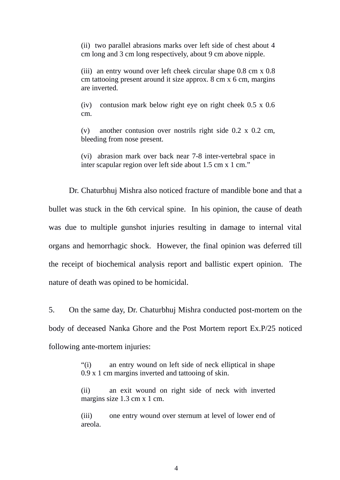(ii) two parallel abrasions marks over left side of chest about 4 cm long and 3 cm long respectively, about 9 cm above nipple.

(iii) an entry wound over left cheek circular shape 0.8 cm x 0.8 cm tattooing present around it size approx. 8 cm x 6 cm, margins are inverted.

(iv) contusion mark below right eye on right cheek 0.5 x 0.6 cm.

(v) another contusion over nostrils right side 0.2 x 0.2 cm, bleeding from nose present.

(vi) abrasion mark over back near 7-8 inter-vertebral space in inter scapular region over left side about 1.5 cm x 1 cm."

Dr. Chaturbhuj Mishra also noticed fracture of mandible bone and that a bullet was stuck in the 6th cervical spine. In his opinion, the cause of death was due to multiple gunshot injuries resulting in damage to internal vital organs and hemorrhagic shock. However, the final opinion was deferred till the receipt of biochemical analysis report and ballistic expert opinion. The nature of death was opined to be homicidal.

5. On the same day, Dr. Chaturbhuj Mishra conducted post-mortem on the body of deceased Nanka Ghore and the Post Mortem report Ex.P/25 noticed following ante-mortem injuries:

> "(i) an entry wound on left side of neck elliptical in shape 0.9 x 1 cm margins inverted and tattooing of skin.

> (ii) an exit wound on right side of neck with inverted margins size 1.3 cm x 1 cm.

> (iii) one entry wound over sternum at level of lower end of areola.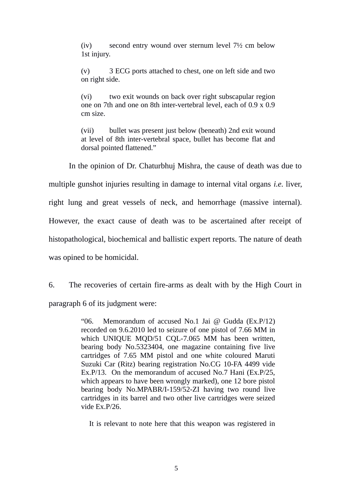(iv) second entry wound over sternum level 7½ cm below 1st injury.

(v) 3 ECG ports attached to chest, one on left side and two on right side.

(vi) two exit wounds on back over right subscapular region one on 7th and one on 8th inter-vertebral level, each of 0.9 x 0.9 cm size.

(vii) bullet was present just below (beneath) 2nd exit wound at level of 8th inter-vertebral space, bullet has become flat and dorsal pointed flattened."

In the opinion of Dr. Chaturbhuj Mishra, the cause of death was due to

multiple gunshot injuries resulting in damage to internal vital organs *i.e.* liver,

right lung and great vessels of neck, and hemorrhage (massive internal).

However, the exact cause of death was to be ascertained after receipt of

histopathological, biochemical and ballistic expert reports. The nature of death

was opined to be homicidal.

6. The recoveries of certain fire-arms as dealt with by the High Court in paragraph 6 of its judgment were:

> "06. Memorandum of accused No.1 Jai @ Gudda (Ex.P/12) recorded on 9.6.2010 led to seizure of one pistol of 7.66 MM in which UNIQUE MQD/51 CQL-7.065 MM has been written, bearing body No.5323404, one magazine containing five live cartridges of 7.65 MM pistol and one white coloured Maruti Suzuki Car (Ritz) bearing registration No.CG 10-FA 4499 vide Ex.P/13. On the memorandum of accused No.7 Hani (Ex.P/25, which appears to have been wrongly marked), one 12 bore pistol bearing body No.MPABR/I-159/52-ZI having two round live cartridges in its barrel and two other live cartridges were seized vide Ex.P/26.

It is relevant to note here that this weapon was registered in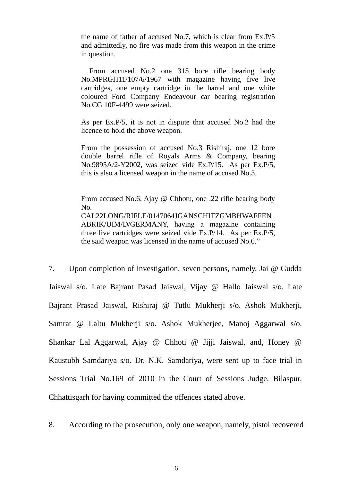the name of father of accused No.7, which is clear from Ex.P/5 and admittedly, no fire was made from this weapon in the crime in question.

From accused No.2 one 315 bore rifle bearing body No.MPRGH11/107/6/1967 with magazine having five live cartridges, one empty cartridge in the barrel and one white coloured Ford Company Endeavour car bearing registration No.CG 10F-4499 were seized.

As per Ex.P/5, it is not in dispute that accused No.2 had the licence to hold the above weapon.

From the possession of accused No.3 Rishiraj, one 12 bore double barrel rifle of Royals Arms & Company, bearing No.9895A/2-Y2002, was seized vide Ex.P/15. As per Ex.P/5, this is also a licensed weapon in the name of accused No.3.

From accused No.6, Ajay @ Chhotu, one .22 rifle bearing body No. CAL22LONG/RIFLE/0147064JGANSCHITZGMBHWAFFEN ABRIK/UIM/D/GERMANY, having a magazine containing three live cartridges were seized vide Ex.P/14. As per Ex.P/5, the said weapon was licensed in the name of accused No.6."

7. Upon completion of investigation, seven persons, namely, Jai @ Gudda Jaiswal s/o. Late Bajrant Pasad Jaiswal, Vijay @ Hallo Jaiswal s/o. Late Bajrant Prasad Jaiswal, Rishiraj @ Tutlu Mukherji s/o. Ashok Mukherji, Samrat @ Laltu Mukherji s/o. Ashok Mukherjee, Manoj Aggarwal s/o. Shankar Lal Aggarwal, Ajay @ Chhoti @ Jijji Jaiswal, and, Honey @ Kaustubh Samdariya s/o. Dr. N.K. Samdariya, were sent up to face trial in Sessions Trial No.169 of 2010 in the Court of Sessions Judge, Bilaspur, Chhattisgarh for having committed the offences stated above.

8. According to the prosecution, only one weapon, namely, pistol recovered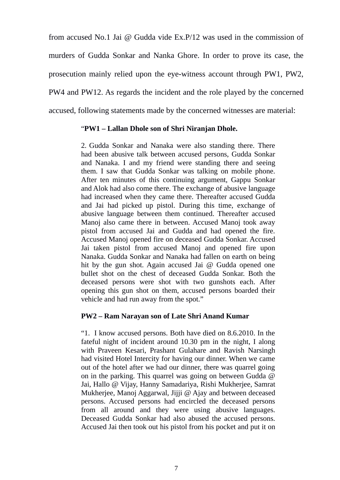from accused No.1 Jai  $\omega$  Gudda vide Ex.P/12 was used in the commission of murders of Gudda Sonkar and Nanka Ghore. In order to prove its case, the prosecution mainly relied upon the eye-witness account through PW1, PW2, PW4 and PW12. As regards the incident and the role played by the concerned accused, following statements made by the concerned witnesses are material:

#### "**PW1 – Lallan Dhole son of Shri Niranjan Dhole.**

2. Gudda Sonkar and Nanaka were also standing there. There had been abusive talk between accused persons, Gudda Sonkar and Nanaka. I and my friend were standing there and seeing them. I saw that Gudda Sonkar was talking on mobile phone. After ten minutes of this continuing argument, Gappu Sonkar and Alok had also come there. The exchange of abusive language had increased when they came there. Thereafter accused Gudda and Jai had picked up pistol. During this time, exchange of abusive language between them continued. Thereafter accused Manoj also came there in between. Accused Manoj took away pistol from accused Jai and Gudda and had opened the fire. Accused Manoj opened fire on deceased Gudda Sonkar. Accused Jai taken pistol from accused Manoj and opened fire upon Nanaka. Gudda Sonkar and Nanaka had fallen on earth on being hit by the gun shot. Again accused Jai  $\omega$  Gudda opened one bullet shot on the chest of deceased Gudda Sonkar. Both the deceased persons were shot with two gunshots each. After opening this gun shot on them, accused persons boarded their vehicle and had run away from the spot."

#### **PW2 – Ram Narayan son of Late Shri Anand Kumar**

"1. I know accused persons. Both have died on 8.6.2010. In the fateful night of incident around 10.30 pm in the night, I along with Praveen Kesari, Prashant Gulahare and Ravish Narsingh had visited Hotel Intercity for having our dinner. When we came out of the hotel after we had our dinner, there was quarrel going on in the parking. This quarrel was going on between Gudda  $\omega$ Jai, Hallo @ Vijay, Hanny Samadariya, Rishi Mukherjee, Samrat Mukherjee, Manoj Aggarwal, Jijji @ Ajay and between deceased persons. Accused persons had encircled the deceased persons from all around and they were using abusive languages. Deceased Gudda Sonkar had also abused the accused persons. Accused Jai then took out his pistol from his pocket and put it on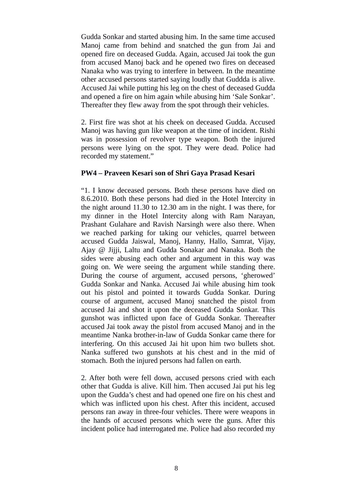Gudda Sonkar and started abusing him. In the same time accused Manoj came from behind and snatched the gun from Jai and opened fire on deceased Gudda. Again, accused Jai took the gun from accused Manoj back and he opened two fires on deceased Nanaka who was trying to interfere in between. In the meantime other accused persons started saying loudly that Guddda is alive. Accused Jai while putting his leg on the chest of deceased Gudda and opened a fire on him again while abusing him 'Sale Sonkar'. Thereafter they flew away from the spot through their vehicles.

2. First fire was shot at his cheek on deceased Gudda. Accused Manoj was having gun like weapon at the time of incident. Rishi was in possession of revolver type weapon. Both the injured persons were lying on the spot. They were dead. Police had recorded my statement."

#### **PW4 – Praveen Kesari son of Shri Gaya Prasad Kesari**

"1. I know deceased persons. Both these persons have died on 8.6.2010. Both these persons had died in the Hotel Intercity in the night around 11.30 to 12.30 am in the night. I was there, for my dinner in the Hotel Intercity along with Ram Narayan, Prashant Gulahare and Ravish Narsingh were also there. When we reached parking for taking our vehicles, quarrel between accused Gudda Jaiswal, Manoj, Hanny, Hallo, Samrat, Vijay, Ajay @ Jijji, Laltu and Gudda Sonakar and Nanaka. Both the sides were abusing each other and argument in this way was going on. We were seeing the argument while standing there. During the course of argument, accused persons, 'gherowed' Gudda Sonkar and Nanka. Accused Jai while abusing him took out his pistol and pointed it towards Gudda Sonkar. During course of argument, accused Manoj snatched the pistol from accused Jai and shot it upon the deceased Gudda Sonkar. This gunshot was inflicted upon face of Gudda Sonkar. Thereafter accused Jai took away the pistol from accused Manoj and in the meantime Nanka brother-in-law of Gudda Sonkar came there for interfering. On this accused Jai hit upon him two bullets shot. Nanka suffered two gunshots at his chest and in the mid of stomach. Both the injured persons had fallen on earth.

2. After both were fell down, accused persons cried with each other that Gudda is alive. Kill him. Then accused Jai put his leg upon the Gudda's chest and had opened one fire on his chest and which was inflicted upon his chest. After this incident, accused persons ran away in three-four vehicles. There were weapons in the hands of accused persons which were the guns. After this incident police had interrogated me. Police had also recorded my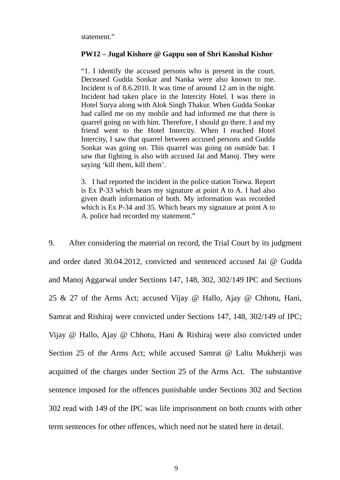statement."

#### **PW12 – Jugal Kishore @ Gappu son of Shri Kaushal Kishor**

"1. I identify the accused persons who is present in the court. Deceased Gudda Sonkar and Nanka were also known to me. Incident is of 8.6.2010. It was time of around 12 am in the night. Incident had taken place in the Intercity Hotel. I was there in Hotel Surya along with Alok Singh Thakur. When Gudda Sonkar had called me on my mobile and had informed me that there is quarrel going on with him. Therefore, I should go there. I and my friend went to the Hotel Intercity. When I reached Hotel Intercity, I saw that quarrel between accused persons and Gudda Sonkar was going on. This quarrel was going on outside bar. I saw that fighting is also with accused Jai and Manoj. They were saying 'kill them, kill them'.

3. I had reported the incident in the police station Torwa. Report is Ex P-33 which bears my signature at point A to A. I had also given death information of both. My information was recorded which is Ex P-34 and 35. Which bears my signature at point A to A. police had recorded my statement."

9. After considering the material on record, the Trial Court by its judgment and order dated 30.04.2012, convicted and sentenced accused Jai  $\omega$  Gudda and Manoj Aggarwal under Sections 147, 148, 302, 302/149 IPC and Sections 25 & 27 of the Arms Act; accused Vijay  $\omega$  Hallo, Ajay  $\omega$  Chhotu, Hani, Samrat and Rishiraj were convicted under Sections 147, 148, 302/149 of IPC; Vijay @ Hallo, Ajay @ Chhotu, Hani & Rishiraj were also convicted under Section 25 of the Arms Act; while accused Samrat  $\omega$  Laltu Mukherji was acquitted of the charges under Section 25 of the Arms Act. The substantive sentence imposed for the offences punishable under Sections 302 and Section 302 read with 149 of the IPC was life imprisonment on both counts with other term sentences for other offences, which need not be stated here in detail.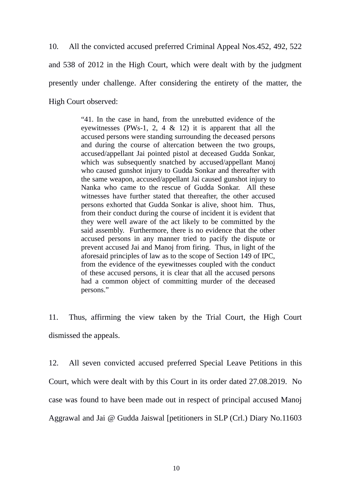10. All the convicted accused preferred Criminal Appeal Nos.452, 492, 522 and 538 of 2012 in the High Court, which were dealt with by the judgment presently under challenge. After considering the entirety of the matter, the High Court observed:

> "41. In the case in hand, from the unrebutted evidence of the eyewitnesses (PWs-1, 2, 4 & 12) it is apparent that all the accused persons were standing surrounding the deceased persons and during the course of altercation between the two groups, accused/appellant Jai pointed pistol at deceased Gudda Sonkar, which was subsequently snatched by accused/appellant Manoj who caused gunshot injury to Gudda Sonkar and thereafter with the same weapon, accused/appellant Jai caused gunshot injury to Nanka who came to the rescue of Gudda Sonkar. All these witnesses have further stated that thereafter, the other accused persons exhorted that Gudda Sonkar is alive, shoot him. Thus, from their conduct during the course of incident it is evident that they were well aware of the act likely to be committed by the said assembly. Furthermore, there is no evidence that the other accused persons in any manner tried to pacify the dispute or prevent accused Jai and Manoj from firing. Thus, in light of the aforesaid principles of law as to the scope of Section 149 of IPC, from the evidence of the eyewitnesses coupled with the conduct of these accused persons, it is clear that all the accused persons had a common object of committing murder of the deceased persons."

11. Thus, affirming the view taken by the Trial Court, the High Court dismissed the appeals.

12. All seven convicted accused preferred Special Leave Petitions in this Court, which were dealt with by this Court in its order dated 27.08.2019. No case was found to have been made out in respect of principal accused Manoj Aggrawal and Jai @ Gudda Jaiswal [petitioners in SLP (Crl.) Diary No.11603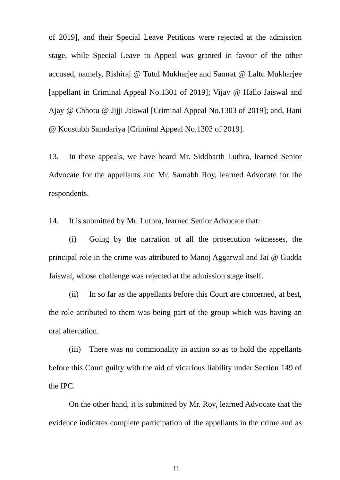of 2019], and their Special Leave Petitions were rejected at the admission stage, while Special Leave to Appeal was granted in favour of the other accused, namely, Rishiraj @ Tutul Mukharjee and Samrat @ Laltu Mukharjee [appellant in Criminal Appeal No.1301 of 2019]; Vijay @ Hallo Jaiswal and Ajay @ Chhotu @ Jijji Jaiswal [Criminal Appeal No.1303 of 2019]; and, Hani @ Koustubh Samdariya [Criminal Appeal No.1302 of 2019].

13. In these appeals, we have heard Mr. Siddharth Luthra, learned Senior Advocate for the appellants and Mr. Saurabh Roy, learned Advocate for the respondents.

14. It is submitted by Mr. Luthra, learned Senior Advocate that:

(i) Going by the narration of all the prosecution witnesses, the principal role in the crime was attributed to Manoj Aggarwal and Jai  $\omega$  Gudda Jaiswal, whose challenge was rejected at the admission stage itself.

(ii) In so far as the appellants before this Court are concerned, at best, the role attributed to them was being part of the group which was having an oral altercation.

(iii) There was no commonality in action so as to hold the appellants before this Court guilty with the aid of vicarious liability under Section 149 of the IPC.

On the other hand, it is submitted by Mr. Roy, learned Advocate that the evidence indicates complete participation of the appellants in the crime and as

11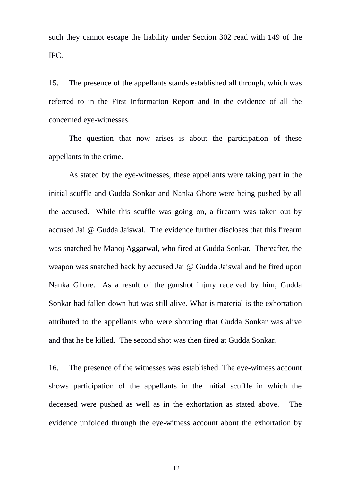such they cannot escape the liability under Section 302 read with 149 of the IPC.

15. The presence of the appellants stands established all through, which was referred to in the First Information Report and in the evidence of all the concerned eye-witnesses.

The question that now arises is about the participation of these appellants in the crime.

As stated by the eye-witnesses, these appellants were taking part in the initial scuffle and Gudda Sonkar and Nanka Ghore were being pushed by all the accused. While this scuffle was going on, a firearm was taken out by accused Jai  $\omega$  Gudda Jaiswal. The evidence further discloses that this firearm was snatched by Manoj Aggarwal, who fired at Gudda Sonkar. Thereafter, the weapon was snatched back by accused Jai  $\omega$  Gudda Jaiswal and he fired upon Nanka Ghore. As a result of the gunshot injury received by him, Gudda Sonkar had fallen down but was still alive. What is material is the exhortation attributed to the appellants who were shouting that Gudda Sonkar was alive and that he be killed. The second shot was then fired at Gudda Sonkar.

16. The presence of the witnesses was established. The eye-witness account shows participation of the appellants in the initial scuffle in which the deceased were pushed as well as in the exhortation as stated above. The evidence unfolded through the eye-witness account about the exhortation by

12